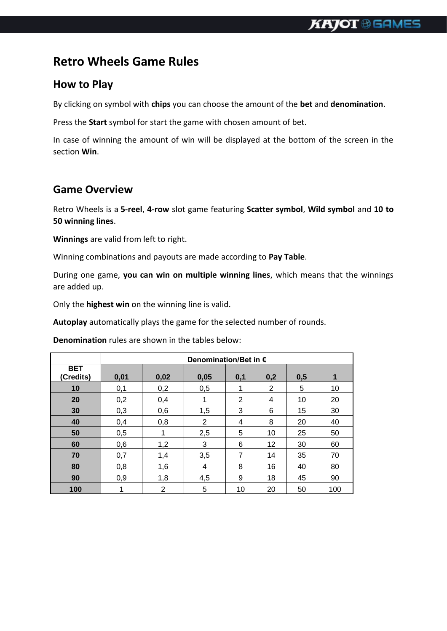# **Retro Wheels Game Rules**

#### **How to Play**

By clicking on symbol with **chips** you can choose the amount of the **bet** and **denomination**.

Press the **Start** symbol for start the game with chosen amount of bet.

In case of winning the amount of win will be displayed at the bottom of the screen in the section **Win**.

#### **Game Overview**

Retro Wheels is a **5-reel**, **4-row** slot game featuring **Scatter symbol**, **Wild symbol** and **10 to 50 winning lines**.

**Winnings** are valid from left to right.

Winning combinations and payouts are made according to **Pay Table**.

During one game, **you can win on multiple winning lines**, which means that the winnings are added up.

Only the **highest win** on the winning line is valid.

**Autoplay** automatically plays the game for the selected number of rounds.

**Denomination** rules are shown in the tables below:

|                         | Denomination/Bet in € |      |                |     |     |     |     |
|-------------------------|-----------------------|------|----------------|-----|-----|-----|-----|
| <b>BET</b><br>(Credits) | 0,01                  | 0,02 | 0,05           | 0,1 | 0,2 | 0,5 | 1   |
| 10                      | 0,1                   | 0,2  | 0,5            | 1   | 2   | 5   | 10  |
| 20                      | 0,2                   | 0,4  | 1              | 2   | 4   | 10  | 20  |
| 30                      | 0,3                   | 0,6  | 1,5            | 3   | 6   | 15  | 30  |
| 40                      | 0,4                   | 0,8  | $\overline{2}$ | 4   | 8   | 20  | 40  |
| 50                      | 0,5                   | 1    | 2,5            | 5   | 10  | 25  | 50  |
| 60                      | 0,6                   | 1,2  | 3              | 6   | 12  | 30  | 60  |
| 70                      | 0,7                   | 1,4  | 3,5            | 7   | 14  | 35  | 70  |
| 80                      | 0,8                   | 1,6  | 4              | 8   | 16  | 40  | 80  |
| 90                      | 0,9                   | 1,8  | 4,5            | 9   | 18  | 45  | 90  |
| 100                     | 1                     | 2    | 5              | 10  | 20  | 50  | 100 |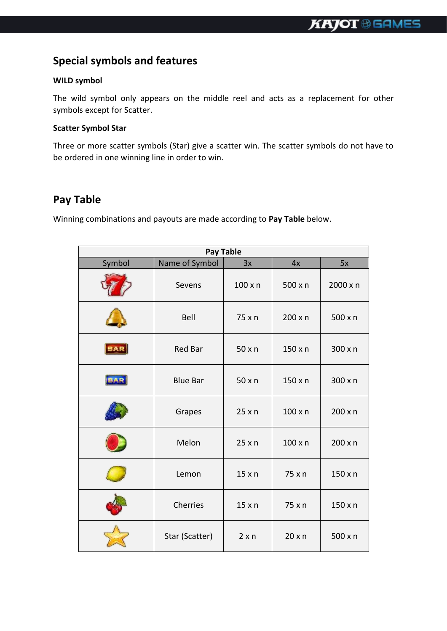## **Special symbols and features**

#### **WILD symbol**

The wild symbol only appears on the middle reel and acts as a replacement for other symbols except for Scatter.

#### **Scatter Symbol Star**

Three or more scatter symbols (Star) give a scatter win. The scatter symbols do not have to be ordered in one winning line in order to win.

## **Pay Table**

Winning combinations and payouts are made according to **Pay Table** below.

| Pay Table  |                 |                |                |                |
|------------|-----------------|----------------|----------------|----------------|
| Symbol     | Name of Symbol  | 3x             | 4x             | 5x             |
|            | Sevens          | $100 \times n$ | 500 x n        | 2000 x n       |
|            | Bell            | 75 x n         | $200 \times n$ | 500 x n        |
| <b>BAR</b> | <b>Red Bar</b>  | 50xn           | $150 \times n$ | 300 x n        |
|            | <b>Blue Bar</b> | 50xn           | 150xn          | 300 x n        |
|            | Grapes          | 25xn           | $100 \times n$ | $200 \times n$ |
|            | Melon           | 25xn           | $100 \times n$ | $200 \times n$ |
|            | Lemon           | 15xn           | 75 x n         | $150 \times n$ |
|            | Cherries        | 15xn           | 75 x n         | $150 \times n$ |
|            | Star (Scatter)  | 2xn            | 20xn           | $500 \times n$ |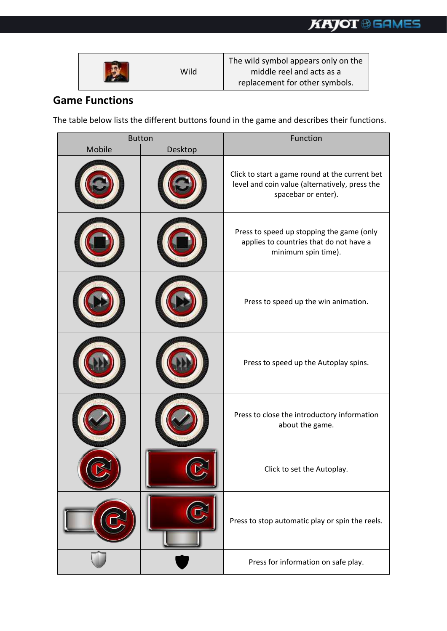| Wild | The wild symbol appears only on the<br>middle reel and acts as a<br>replacement for other symbols. |
|------|----------------------------------------------------------------------------------------------------|
|------|----------------------------------------------------------------------------------------------------|

### **Game Functions**

The table below lists the different buttons found in the game and describes their functions.

|        | <b>Button</b> | Function                                                                                                                |  |  |
|--------|---------------|-------------------------------------------------------------------------------------------------------------------------|--|--|
| Mobile | Desktop       |                                                                                                                         |  |  |
|        |               | Click to start a game round at the current bet<br>level and coin value (alternatively, press the<br>spacebar or enter). |  |  |
|        |               | Press to speed up stopping the game (only<br>applies to countries that do not have a<br>minimum spin time).             |  |  |
|        |               | Press to speed up the win animation.                                                                                    |  |  |
|        |               | Press to speed up the Autoplay spins.                                                                                   |  |  |
|        |               | Press to close the introductory information<br>about the game.                                                          |  |  |
|        |               | Click to set the Autoplay.                                                                                              |  |  |
|        |               | Press to stop automatic play or spin the reels.                                                                         |  |  |
|        |               | Press for information on safe play.                                                                                     |  |  |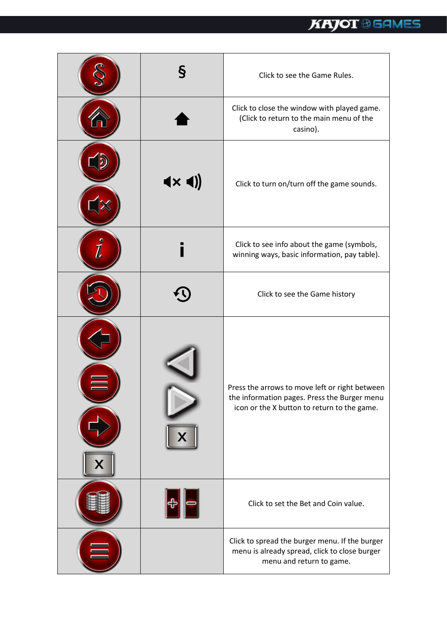| Ş                                              | Click to see the Game Rules.                                                                                                                  |
|------------------------------------------------|-----------------------------------------------------------------------------------------------------------------------------------------------|
|                                                | Click to close the window with played game.<br>(Click to return to the main menu of the<br>casino).                                           |
| $\blacktriangleleft \times \blacktriangleleft$ | Click to turn on/turn off the game sounds.                                                                                                    |
|                                                | Click to see info about the game (symbols,<br>winning ways, basic information, pay table).                                                    |
|                                                | Click to see the Game history                                                                                                                 |
|                                                | Press the arrows to move left or right between<br>the information pages. Press the Burger menu<br>icon or the X button to return to the game. |
|                                                | Click to set the Bet and Coin value.                                                                                                          |
|                                                | Click to spread the burger menu. If the burger<br>menu is already spread, click to close burger<br>menu and return to game.                   |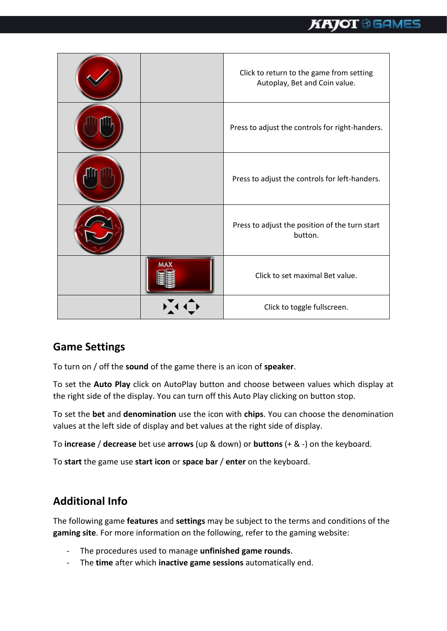

## **Game Settings**

To turn on / off the **sound** of the game there is an icon of **speaker**.

To set the **Auto Play** click on AutoPlay button and choose between values which display at the right side of the display. You can turn off this Auto Play clicking on button stop.

To set the **bet** and **denomination** use the icon with **chips**. You can choose the denomination values at the left side of display and bet values at the right side of display.

To **increase** / **decrease** bet use **arrows** (up & down) or **buttons** (+ & -) on the keyboard.

To **start** the game use **start icon** or **space bar** / **enter** on the keyboard.

## **Additional Info**

The following game **features** and **settings** may be subject to the terms and conditions of the **gaming site**. For more information on the following, refer to the gaming website:

- The procedures used to manage **unfinished game rounds**.
- The **time** after which **inactive game sessions** automatically end.